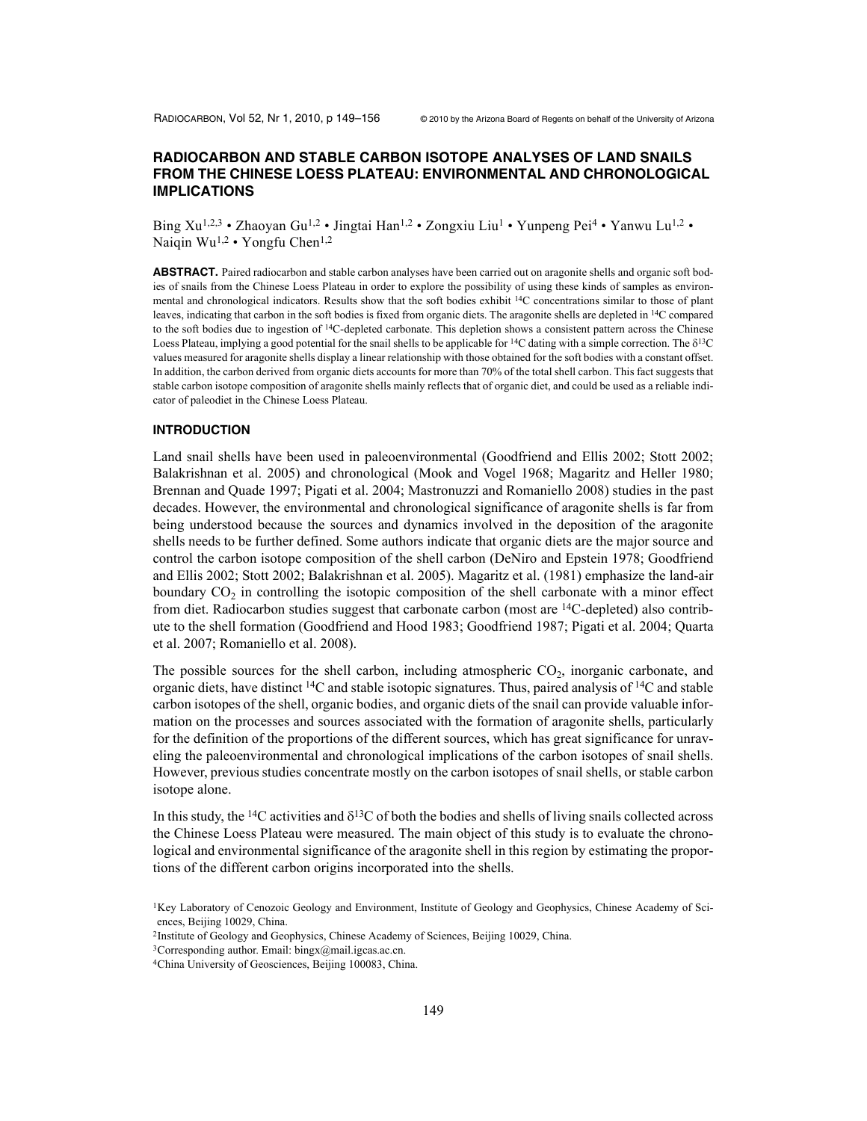# **RADIOCARBON AND STABLE CARBON ISOTOPE ANALYSES OF LAND SNAILS FROM THE CHINESE LOESS PLATEAU: ENVIRONMENTAL AND CHRONOLOGICAL IMPLICATIONS**

Bing Xu<sup>1,2,3</sup> • Zhaoyan Gu<sup>1,2</sup> • Jingtai Han<sup>1,2</sup> • Zongxiu Liu<sup>1</sup> • Yunpeng Pei<sup>4</sup> • Yanwu Lu<sup>1,2</sup> • Naiqin Wu<sup>1,2</sup> • Yongfu Chen<sup>1,2</sup>

**ABSTRACT.** Paired radiocarbon and stable carbon analyses have been carried out on aragonite shells and organic soft bodies of snails from the Chinese Loess Plateau in order to explore the possibility of using these kinds of samples as environmental and chronological indicators. Results show that the soft bodies exhibit 14C concentrations similar to those of plant leaves, indicating that carbon in the soft bodies is fixed from organic diets. The aragonite shells are depleted in 14C compared to the soft bodies due to ingestion of <sup>14</sup>C-depleted carbonate. This depletion shows a consistent pattern across the Chinese Loess Plateau, implying a good potential for the snail shells to be applicable for <sup>14</sup>C dating with a simple correction. The  $\delta^{13}C$ values measured for aragonite shells display a linear relationship with those obtained for the soft bodies with a constant offset. In addition, the carbon derived from organic diets accounts for more than 70% of the total shell carbon. This fact suggests that stable carbon isotope composition of aragonite shells mainly reflects that of organic diet, and could be used as a reliable indicator of paleodiet in the Chinese Loess Plateau.

### **INTRODUCTION**

Land snail shells have been used in paleoenvironmental (Goodfriend and Ellis 2002; Stott 2002; Balakrishnan et al. 2005) and chronological (Mook and Vogel 1968; Magaritz and Heller 1980; Brennan and Quade 1997; Pigati et al. 2004; Mastronuzzi and Romaniello 2008) studies in the past decades. However, the environmental and chronological significance of aragonite shells is far from being understood because the sources and dynamics involved in the deposition of the aragonite shells needs to be further defined. Some authors indicate that organic diets are the major source and control the carbon isotope composition of the shell carbon (DeNiro and Epstein 1978; Goodfriend and Ellis 2002; Stott 2002; Balakrishnan et al. 2005). Magaritz et al. (1981) emphasize the land-air boundary  $CO<sub>2</sub>$  in controlling the isotopic composition of the shell carbonate with a minor effect from diet. Radiocarbon studies suggest that carbonate carbon (most are  $^{14}C$ -depleted) also contribute to the shell formation (Goodfriend and Hood 1983; Goodfriend 1987; Pigati et al. 2004; Quarta et al. 2007; Romaniello et al. 2008).

The possible sources for the shell carbon, including atmospheric  $CO<sub>2</sub>$ , inorganic carbonate, and organic diets, have distinct  ${}^{14}C$  and stable isotopic signatures. Thus, paired analysis of  ${}^{14}C$  and stable carbon isotopes of the shell, organic bodies, and organic diets of the snail can provide valuable information on the processes and sources associated with the formation of aragonite shells, particularly for the definition of the proportions of the different sources, which has great significance for unraveling the paleoenvironmental and chronological implications of the carbon isotopes of snail shells. However, previous studies concentrate mostly on the carbon isotopes of snail shells, or stable carbon isotope alone.

In this study, the <sup>14</sup>C activities and  $\delta^{13}$ C of both the bodies and shells of living snails collected across the Chinese Loess Plateau were measured. The main object of this study is to evaluate the chronological and environmental significance of the aragonite shell in this region by estimating the proportions of the different carbon origins incorporated into the shells.

<sup>&</sup>lt;sup>1</sup>Key Laboratory of Cenozoic Geology and Environment, Institute of Geology and Geophysics, Chinese Academy of Sciences, Beijing 10029, China.

<sup>2</sup>Institute of Geology and Geophysics, Chinese Academy of Sciences, Beijing 10029, China.

<sup>3</sup>Corresponding author. Email: bingx@mail.igcas.ac.cn.

<sup>4</sup>China University of Geosciences, Beijing 100083, China.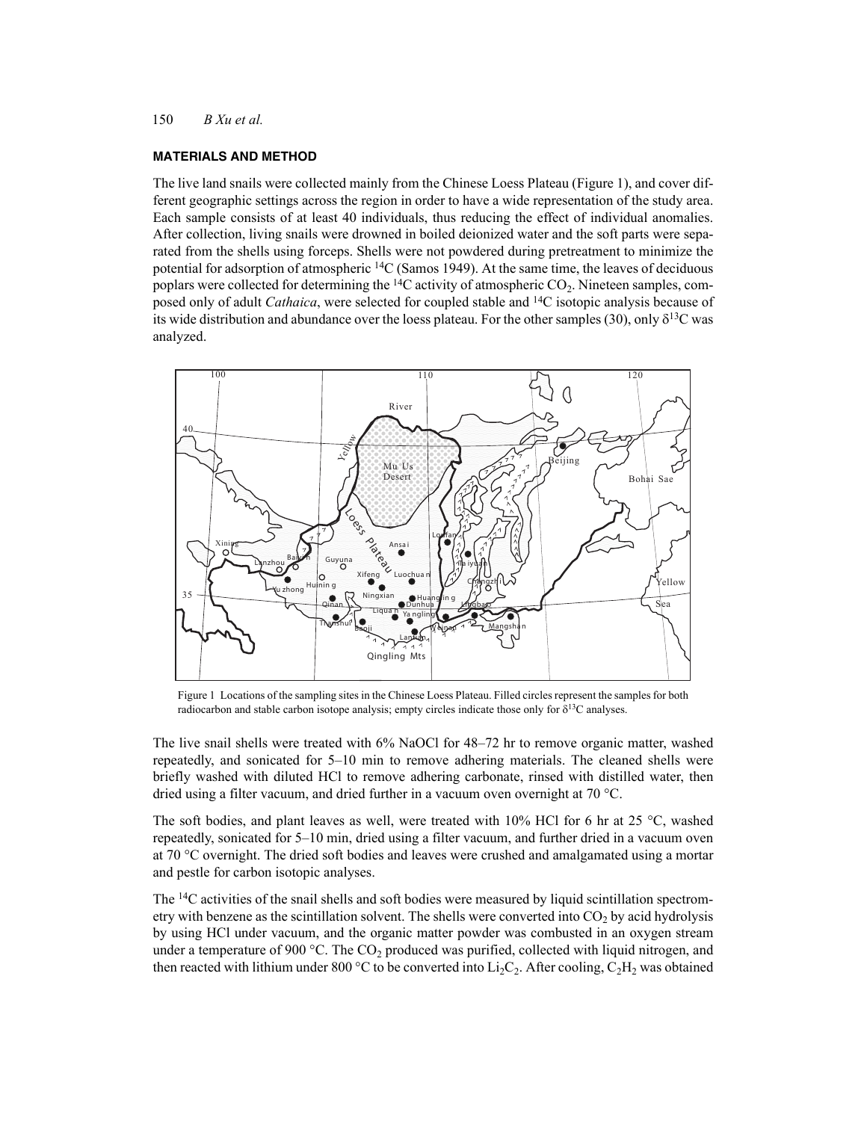# **MATERIALS AND METHOD**

The live land snails were collected mainly from the Chinese Loess Plateau (Figure 1), and cover different geographic settings across the region in order to have a wide representation of the study area. Each sample consists of at least 40 individuals, thus reducing the effect of individual anomalies. After collection, living snails were drowned in boiled deionized water and the soft parts were separated from the shells using forceps. Shells were not powdered during pretreatment to minimize the potential for adsorption of atmospheric  ${}^{14}C$  (Samos 1949). At the same time, the leaves of deciduous poplars were collected for determining the  ${}^{14}C$  activity of atmospheric  $CO_2$ . Nineteen samples, composed only of adult *Cathaica*, were selected for coupled stable and 14C isotopic analysis because of its wide distribution and abundance over the loess plateau. For the other samples (30), only  $\delta^{13}C$  was analyzed.



Figure 1 Locations of the sampling sites in the Chinese Loess Plateau. Filled circles represent the samples for both radiocarbon and stable carbon isotope analysis; empty circles indicate those only for  $\delta^{13}C$  analyses.

The live snail shells were treated with 6% NaOCl for 48–72 hr to remove organic matter, washed repeatedly, and sonicated for 5–10 min to remove adhering materials. The cleaned shells were briefly washed with diluted HCl to remove adhering carbonate, rinsed with distilled water, then dried using a filter vacuum, and dried further in a vacuum oven overnight at 70 °C.

The soft bodies, and plant leaves as well, were treated with 10% HCl for 6 hr at 25  $\degree$ C, washed repeatedly, sonicated for 5–10 min, dried using a filter vacuum, and further dried in a vacuum oven at 70 °C overnight. The dried soft bodies and leaves were crushed and amalgamated using a mortar and pestle for carbon isotopic analyses.

The 14C activities of the snail shells and soft bodies were measured by liquid scintillation spectrometry with benzene as the scintillation solvent. The shells were converted into  $CO<sub>2</sub>$  by acid hydrolysis by using HCl under vacuum, and the organic matter powder was combusted in an oxygen stream under a temperature of 900 °C. The  $CO_2$  produced was purified, collected with liquid nitrogen, and then reacted with lithium under 800 °C to be converted into  $Li_2C_2$ . After cooling,  $C_2H_2$  was obtained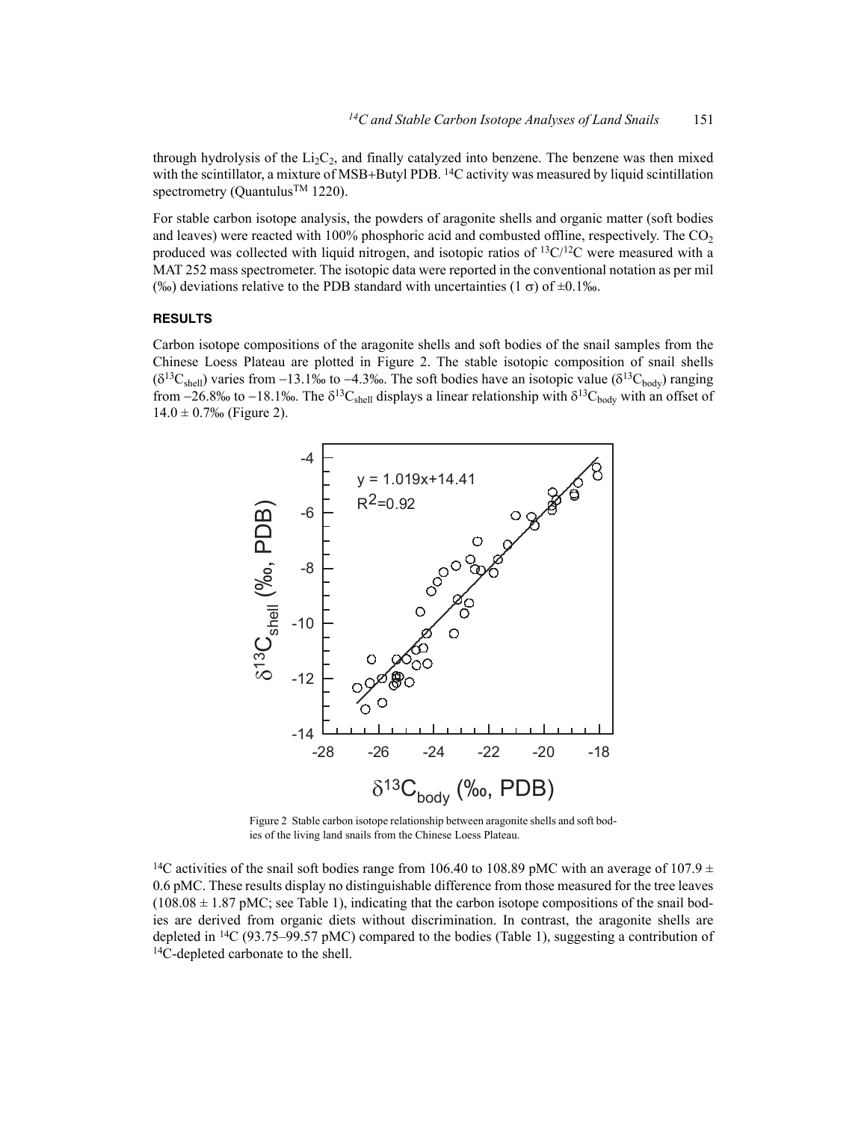through hydrolysis of the  $Li<sub>2</sub>C<sub>2</sub>$ , and finally catalyzed into benzene. The benzene was then mixed with the scintillator, a mixture of MSB+Butyl PDB. <sup>14</sup>C activity was measured by liquid scintillation spectrometry (Quantulus<sup>™</sup> 1220).

For stable carbon isotope analysis, the powders of aragonite shells and organic matter (soft bodies and leaves) were reacted with  $100\%$  phosphoric acid and combusted offline, respectively. The CO<sub>2</sub> produced was collected with liquid nitrogen, and isotopic ratios of  ${}^{13}C/{}^{12}C$  were measured with a MAT 252 mass spectrometer. The isotopic data were reported in the conventional notation as per mil (‰) deviations relative to the PDB standard with uncertainties (1  $\sigma$ ) of  $\pm 0.1\%$ .

# **RESULTS**

Carbon isotope compositions of the aragonite shells and soft bodies of the snail samples from the Chinese Loess Plateau are plotted in Figure 2. The stable isotopic composition of snail shells  $(\delta^{13}C_{shell})$  varies from -13.1‰ to -4.3‰. The soft bodies have an isotopic value  $(\delta^{13}C_{body})$  ranging from -26.8‰ to -18.1‰. The  $\delta^{13}C_{shell}$  displays a linear relationship with  $\delta^{13}C_{body}$  with an offset of  $14.0 \pm 0.7\%$  (Figure 2).



Figure 2 Stable carbon isotope relationship between aragonite shells and soft bodies of the living land snails from the Chinese Loess Plateau.

<sup>14</sup>C activities of the snail soft bodies range from 106.40 to 108.89 pMC with an average of 107.9  $\pm$ 0.6 pMC. These results display no distinguishable difference from those measured for the tree leaves  $(108.08 \pm 1.87 \text{ pMC})$ ; see Table 1), indicating that the carbon isotope compositions of the snail bodies are derived from organic diets without discrimination. In contrast, the aragonite shells are depleted in <sup>14</sup>C (93.75–99.57 pMC) compared to the bodies (Table 1), suggesting a contribution of <sup>14</sup>C-depleted carbonate to the shell.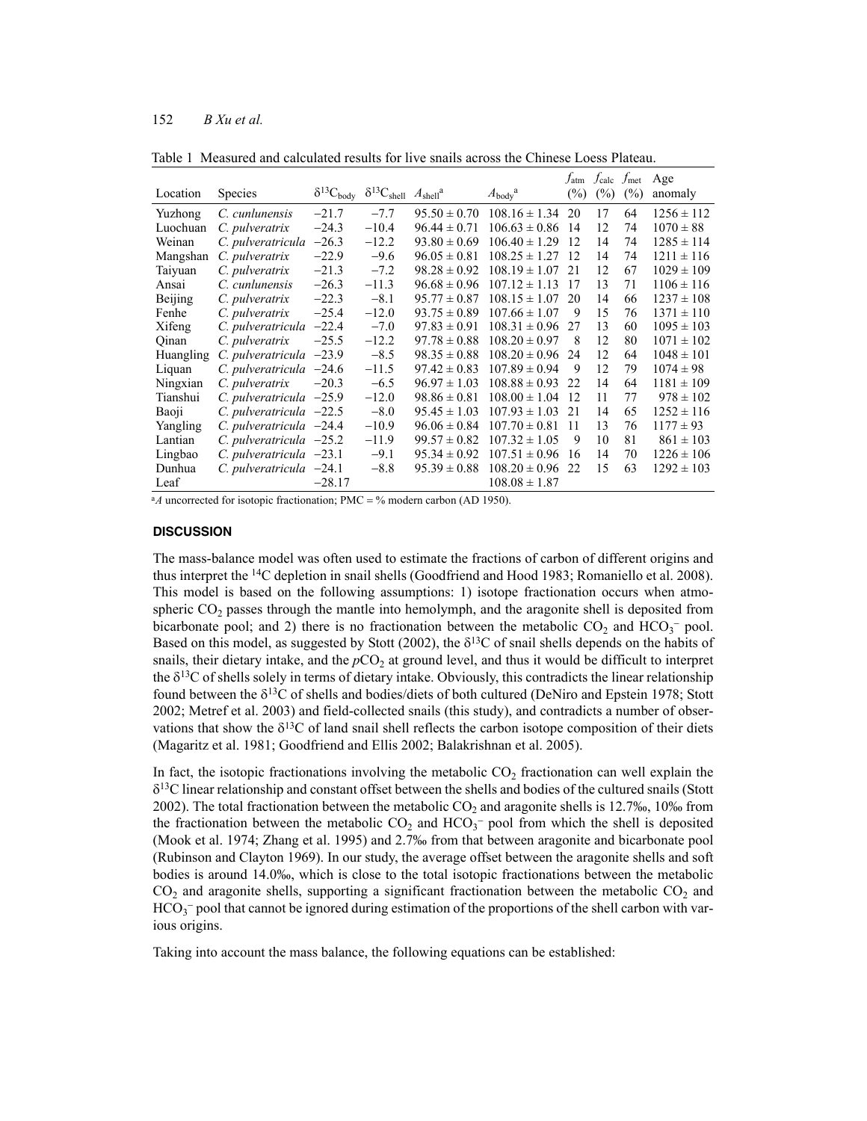# 152 *B Xu et al.*

|                  |                               |                       |                                                 |                  |                              | $f_{\rm atm}$ | $J_{\rm calc}$ | $J_{\text{met}}$ | Age            |
|------------------|-------------------------------|-----------------------|-------------------------------------------------|------------------|------------------------------|---------------|----------------|------------------|----------------|
| Location         | <b>Species</b>                | $\delta^{13}C_{body}$ | $\delta^{13}C_{shell}$ $A_{shell}$ <sup>a</sup> |                  | $A_{\text{body}}^{\text{a}}$ | $(\%)$        | (%)            | (%)              | anomaly        |
| Yuzhong          | C. cunlunensis                | $-21.7$               | $-7.7$                                          | $95.50 \pm 0.70$ | $108.16 \pm 1.34$            | 20            | 17             | 64               | $1256 \pm 112$ |
| Luochuan         | C. pulveratrix                | $-24.3$               | $-10.4$                                         | $96.44 \pm 0.71$ | $106.63 \pm 0.86$            | 14            | 12             | 74               | $1070 \pm 88$  |
| Weinan           | C. pulveratricula             | $-26.3$               | $-12.2$                                         | $93.80 \pm 0.69$ | $106.40 \pm 1.29$            | 12            | 14             | 74               | $1285 \pm 114$ |
| Mangshan         | C. pulveratrix                | $-22.9$               | $-9.6$                                          | $96.05 \pm 0.81$ | $108.25 \pm 1.27$            | -12           | 14             | 74               | $1211 \pm 116$ |
| Taiyuan          | C. pulveratrix                | $-21.3$               | $-7.2$                                          | $98.28 \pm 0.92$ | $108.19 \pm 1.07$            | 2.1           | 12             | 67               | $1029 \pm 109$ |
| Ansai            | C. cunlunensis                | $-26.3$               | $-11.3$                                         | $96.68 \pm 0.96$ | $107.12 \pm 1.13$            | 17            | 13             | 71               | $1106 \pm 116$ |
| Beijing          | C. pulveratrix                | $-22.3$               | $-8.1$                                          | $95.77 \pm 0.87$ | $108.15 \pm 1.07$            | 20            | 14             | 66               | $1237 \pm 108$ |
| Fenhe            | C. pulveratrix                | $-25.4$               | $-12.0$                                         | $93.75 \pm 0.89$ | $107.66 \pm 1.07$            | 9             | 15             | 76               | $1371 \pm 110$ |
| Xifeng           | C. pulveratricula             | $-22.4$               | $-7.0$                                          | $97.83 \pm 0.91$ | $108.31 \pm 0.96$            | 27            | 13             | 60               | $1095 \pm 103$ |
| Qinan            | C. pulveratrix                | $-25.5$               | $-12.2$                                         | $97.78 \pm 0.88$ | $108.20 \pm 0.97$            | 8             | 12             | 80               | $1071 \pm 102$ |
| <b>Huangling</b> | $C.$ pulveratricula $-23.9$   |                       | $-8.5$                                          | $98.35 \pm 0.88$ | $108.20 \pm 0.96$            | 24            | 12             | 64               | $1048 \pm 101$ |
| Liquan           | C. pulveratricula $-24.6$     |                       | $-11.5$                                         | $97.42 \pm 0.83$ | $107.89 \pm 0.94$            | 9             | 12             | 79               | $1074 \pm 98$  |
| Ningxian         | C. pulveratrix                | $-20.3$               | $-6.5$                                          | $96.97 \pm 1.03$ | $108.88 \pm 0.93$            | 22            | 14             | 64               | $1181 \pm 109$ |
| Tianshui         | $C.$ pulveratricula $-25.9$   |                       | $-12.0$                                         | $98.86 \pm 0.81$ | $108.00 \pm 1.04$            | 12            | 11             | 77               | $978 \pm 102$  |
| Baoji            | $C.$ pulveratricula $-22.5$   |                       | $-8.0$                                          | $95.45 \pm 1.03$ | $107.93 \pm 1.03$            | 21            | 14             | 65               | $1252 \pm 116$ |
| Yangling         | $C.$ pulveratricula $-24.4$   |                       | $-10.9$                                         | $96.06 \pm 0.84$ | $107.70 \pm 0.81$            | 11            | 13             | 76               | $1177 \pm 93$  |
| Lantian          | $C.$ pulveratricula $-25.2$   |                       | $-11.9$                                         | $99.57 \pm 0.82$ | $107.32 \pm 1.05$            | 9             | 10             | 81               | $861 \pm 103$  |
| Lingbao          | $C. \n  pulveratricula -23.1$ |                       | $-9.1$                                          | $95.34 \pm 0.92$ | $107.51 \pm 0.96$            | 16            | 14             | 70               | $1226 \pm 106$ |
| Dunhua           | $C.$ pulveratricula $-24.1$   |                       | $-8.8$                                          | $95.39 \pm 0.88$ | $108.20 \pm 0.96$            | 22            | 15             | 63               | $1292 \pm 103$ |
| Leaf             |                               | $-28.17$              |                                                 |                  | $108.08 \pm 1.87$            |               |                |                  |                |

Table 1 Measured and calculated results for live snails across the Chinese Loess Plateau.

<sup>a</sup>A uncorrected for isotopic fractionation; PMC =  $\%$  modern carbon (AD 1950).

#### **DISCUSSION**

The mass-balance model was often used to estimate the fractions of carbon of different origins and thus interpret the 14C depletion in snail shells (Goodfriend and Hood 1983; Romaniello et al. 2008). This model is based on the following assumptions: 1) isotope fractionation occurs when atmospheric  $CO<sub>2</sub>$  passes through the mantle into hemolymph, and the aragonite shell is deposited from bicarbonate pool; and 2) there is no fractionation between the metabolic  $CO_2$  and  $HCO_3^-$  pool. Based on this model, as suggested by Stott (2002), the  $\delta^{13}$ C of snail shells depends on the habits of snails, their dietary intake, and the  $pCO<sub>2</sub>$  at ground level, and thus it would be difficult to interpret the  $\delta^{13}$ C of shells solely in terms of dietary intake. Obviously, this contradicts the linear relationship found between the  $\delta^{13}$ C of shells and bodies/diets of both cultured (DeNiro and Epstein 1978; Stott 2002; Metref et al. 2003) and field-collected snails (this study), and contradicts a number of observations that show the  $\delta^{13}C$  of land snail shell reflects the carbon isotope composition of their diets (Magaritz et al. 1981; Goodfriend and Ellis 2002; Balakrishnan et al. 2005).

In fact, the isotopic fractionations involving the metabolic  $CO<sub>2</sub>$  fractionation can well explain the  $\delta^{13}$ C linear relationship and constant offset between the shells and bodies of the cultured snails (Stott 2002). The total fractionation between the metabolic  $CO<sub>2</sub>$  and aragonite shells is 12.7‰, 10‰ from the fractionation between the metabolic  $CO_2$  and  $HCO_3$ <sup>-</sup> pool from which the shell is deposited (Mook et al. 1974; Zhang et al. 1995) and 2.7‰ from that between aragonite and bicarbonate pool (Rubinson and Clayton 1969). In our study, the average offset between the aragonite shells and soft bodies is around 14.0‰, which is close to the total isotopic fractionations between the metabolic  $CO<sub>2</sub>$  and aragonite shells, supporting a significant fractionation between the metabolic  $CO<sub>2</sub>$  and  $HCO<sub>3</sub><sup>-</sup>$  pool that cannot be ignored during estimation of the proportions of the shell carbon with various origins.

Taking into account the mass balance, the following equations can be established: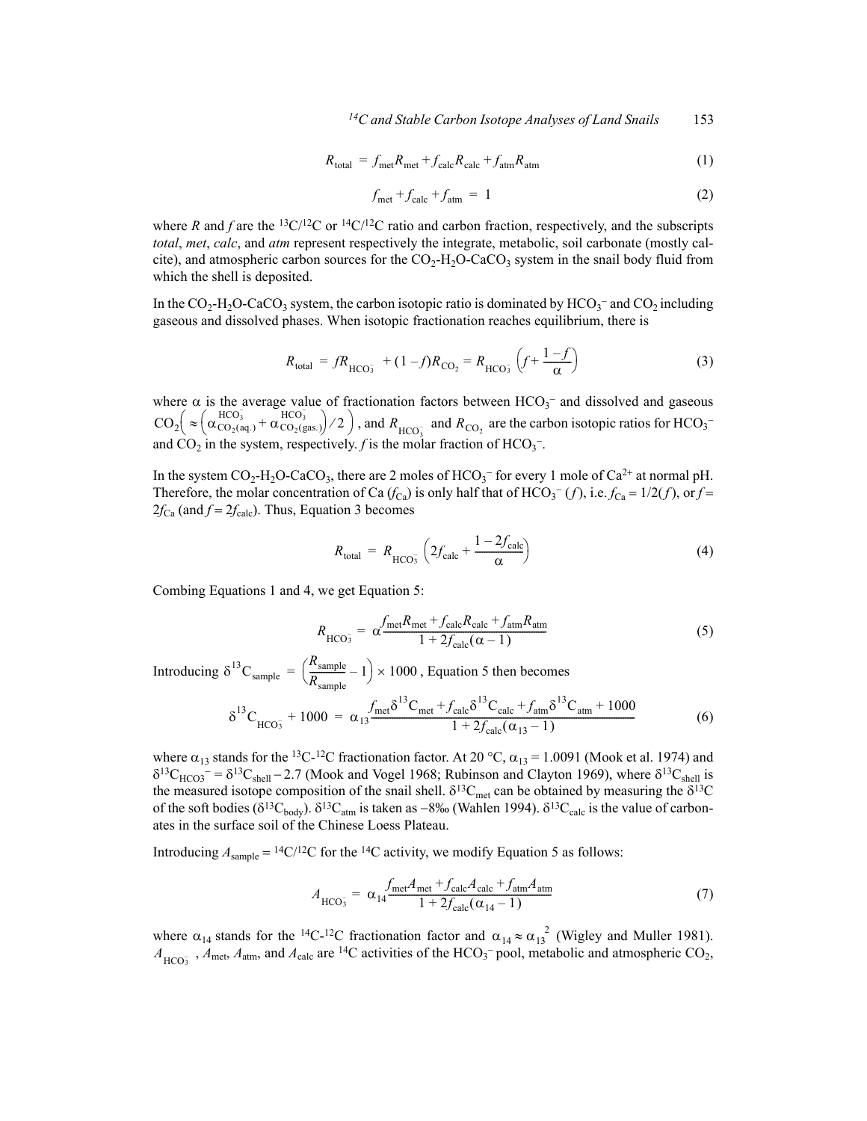*14C and Stable Carbon Isotope Analyses of Land Snails* 153

$$
R_{\text{total}} = f_{\text{met}} R_{\text{met}} + f_{\text{calc}} R_{\text{calc}} + f_{\text{atm}} R_{\text{atm}} \tag{1}
$$

$$
f_{\text{met}} + f_{\text{calc}} + f_{\text{atm}} = 1 \tag{2}
$$

where *R* and *f* are the <sup>13</sup>C/<sup>12</sup>C or <sup>14</sup>C/<sup>12</sup>C ratio and carbon fraction, respectively, and the subscripts *total*, *met*, *calc*, and *atm* represent respectively the integrate, metabolic, soil carbonate (mostly calcite), and atmospheric carbon sources for the  $CO<sub>2</sub>-H<sub>2</sub>O-CaCO<sub>3</sub>$  system in the snail body fluid from which the shell is deposited.

In the  $CO_2$ -H<sub>2</sub>O-CaCO<sub>3</sub> system, the carbon isotopic ratio is dominated by  $HCO_3^-$  and  $CO_2$  including gaseous and dissolved phases. When isotopic fractionation reaches equilibrium, there is

$$
R_{\text{total}} = fR_{\text{HCO}_3^-} + (1 - f)R_{\text{CO}_2} = R_{\text{HCO}_3^-} \left(f + \frac{1 - f}{\alpha}\right) \tag{3}
$$

where  $\alpha$  is the average value of fractionation factors between HCO<sub>3</sub><sup>-</sup> and dissolved and gaseous , and  $R_{\text{HCO}^-}$  and  $R_{\text{CO}^-}$  are the carbon isotopic ratios for  $\text{HCO}_3^$ and  $CO_2$  in the system, respectively. *f* is the molar fraction of  $HCO_3^-$ .  $CO_2\left(\approx \left(\alpha_{CO_2(aq.)}^{HCO_3^-} + \alpha_{CO_2(gas.)}^{HCO_3^-}\right)/2\right)$ , and  $R_{HCO_3^-}$  and  $R_{CO_2}$ 

In the system  $CO_2$ -H<sub>2</sub>O-CaCO<sub>3</sub>, there are 2 moles of HCO<sub>3</sub><sup>-</sup> for every 1 mole of Ca<sup>2+</sup> at normal pH. Therefore, the molar concentration of Ca  $(f_{Ca})$  is only half that of HCO<sub>3</sub><sup>-</sup> (f), i.e.  $f_{Ca} = 1/2(f)$ , or  $f =$  $2f_{\text{Ca}}$  (and  $f = 2f_{\text{calc}}$ ). Thus, Equation 3 becomes

$$
R_{\text{total}} = R_{\text{HCO}_3^-} \left( 2f_{\text{calc}} + \frac{1 - 2f_{\text{calc}}}{\alpha} \right)
$$
 (4)

Combing Equations 1 and 4, we get Equation 5:

$$
R_{\text{HCO}_3^-} = \alpha \frac{f_{\text{met}} R_{\text{met}} + f_{\text{calc}} R_{\text{calc}} + f_{\text{atm}} R_{\text{atm}}}{1 + 2f_{\text{calc}}(\alpha - 1)} \tag{5}
$$

Introducing  $\delta^{13}C_{\text{sample}} = \left(\frac{R_{\text{sample}}}{R}\right) \times 1000$ , Equation 5 then becomes  $=\left(\frac{R_{\text{sample}}}{R_{\text{sample}}}-1\right)\times 1000$ 

$$
\delta^{13}C_{\text{HCO}_3^-} + 1000 = \alpha_{13} \frac{f_{\text{met}} \delta^{13} C_{\text{met}} + f_{\text{calc}} \delta^{13} C_{\text{calc}} + f_{\text{atm}} \delta^{13} C_{\text{atm}} + 1000}{1 + 2f_{\text{calc}} (\alpha_{13} - 1)}
$$
(6)

where  $\alpha_{13}$  stands for the <sup>13</sup>C-<sup>12</sup>C fractionation factor. At 20 °C,  $\alpha_{13}$  = 1.0091 (Mook et al. 1974) and  $\delta^{13}C_{HCO3}$  =  $\delta^{13}C_{shell}$  – 2.7 (Mook and Vogel 1968; Rubinson and Clayton 1969), where  $\delta^{13}C_{shell}$  is the measured isotope composition of the snail shell.  $\delta^{13}C_{\text{met}}$  can be obtained by measuring the  $\delta^{13}C$ of the soft bodies ( $\delta^{13}C_{body}$ ).  $\delta^{13}C_{atm}$  is taken as -8‰ (Wahlen 1994).  $\delta^{13}C_{calc}$  is the value of carbonates in the surface soil of the Chinese Loess Plateau.

Introducing  $A_{\text{sample}} = {}^{14}C/{}^{12}C$  for the <sup>14</sup>C activity, we modify Equation 5 as follows:

$$
A_{\text{HCO}_3^-} = \alpha_{14} \frac{f_{\text{met}} A_{\text{met}} + f_{\text{calc}} A_{\text{calc}} + f_{\text{atm}} A_{\text{atm}}}{1 + 2f_{\text{calc}} (\alpha_{14} - 1)}
$$
(7)

where  $\alpha_{14}$  stands for the <sup>14</sup>C-<sup>12</sup>C fractionation factor and  $\alpha_{14} \approx \alpha_{13}^{2}$  (Wigley and Muller 1981).  $A_{\text{HCO}_3^-}$ ,  $A_{\text{met}}$ ,  $A_{\text{atm}}$ , and  $A_{\text{calc}}$  are <sup>14</sup>C activities of the HCO<sub>3</sub><sup>-</sup> pool, metabolic and atmospheric CO<sub>2</sub>,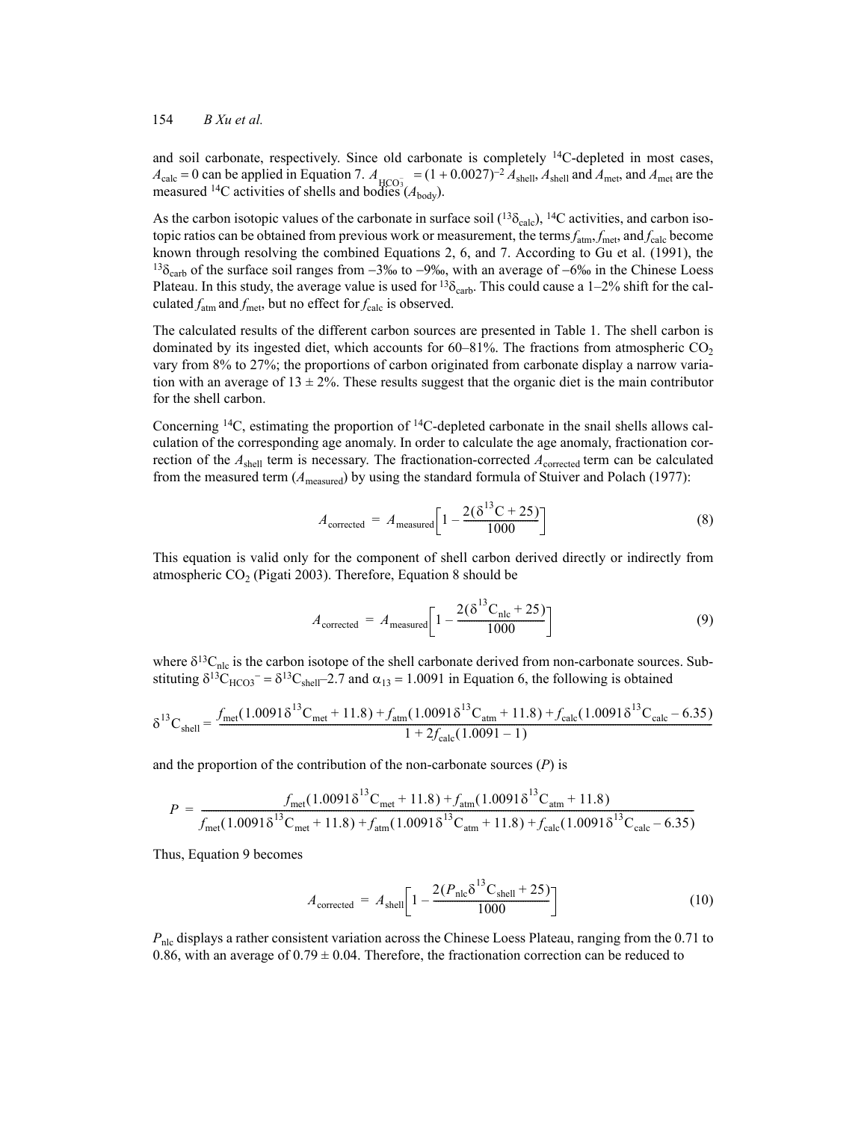# 154 *B Xu et al.*

and soil carbonate, respectively. Since old carbonate is completely 14C-depleted in most cases,  $A_{\text{calc}} = 0$  can be applied in Equation 7.  $A_{\text{HCO}_3^-} = (1 + 0.0027)^{-2} A_{\text{shell}}$ ,  $A_{\text{shell}}$  and  $A_{\text{met}}$ , and  $A_{\text{met}}$  are the measured <sup>14</sup>C activities of shells and bodies  $(A_{body})$ .

As the carbon isotopic values of the carbonate in surface soil  $(^{13}S_{\text{calc}})$ , <sup>14</sup>C activities, and carbon isotopic ratios can be obtained from previous work or measurement, the terms  $f_{\text{atm}}$ ,  $f_{\text{met}}$ , and  $f_{\text{calc}}$  become known through resolving the combined Equations 2, 6, and 7. According to Gu et al. (1991), the <sup>13</sup> $\delta_{\rm carb}$  of the surface soil ranges from -3‰ to -9‰, with an average of -6‰ in the Chinese Loess Plateau. In this study, the average value is used for <sup>13</sup> $\delta$ <sub>carb</sub>. This could cause a 1–2% shift for the calculated  $f_{\text{atm}}$  and  $f_{\text{met}}$ , but no effect for  $f_{\text{calc}}$  is observed.

The calculated results of the different carbon sources are presented in Table 1. The shell carbon is dominated by its ingested diet, which accounts for  $60-81\%$ . The fractions from atmospheric CO<sub>2</sub> vary from 8% to 27%; the proportions of carbon originated from carbonate display a narrow variation with an average of  $13 \pm 2\%$ . These results suggest that the organic diet is the main contributor for the shell carbon.

Concerning  $^{14}C$ , estimating the proportion of  $^{14}C$ -depleted carbonate in the snail shells allows calculation of the corresponding age anomaly. In order to calculate the age anomaly, fractionation correction of the  $A_{shell}$  term is necessary. The fractionation-corrected  $A_{corrected}$  term can be calculated from the measured term (*A*measured) by using the standard formula of Stuiver and Polach (1977):

$$
A_{\text{corrected}} = A_{\text{measured}} \left[ 1 - \frac{2(\delta^{13}C + 25)}{1000} \right]
$$
 (8)

his equation is valid only for the component of shell carbon derived directly or indirectly from atmospheric  $CO<sub>2</sub>$  (Pigati 2003). Therefore, Equation 8 should be

$$
A_{\text{corrected}} = A_{\text{measured}} \left[ 1 - \frac{2(\delta^{13} C_{\text{nlc}} + 25)}{1000} \right]
$$
 (9)

where  $\delta^{13}C_{\text{nlc}}$  is the carbon isotope of the shell carbonate derived from non-carbonate sources. Substituting  $\delta^{13}C_{HCO3}$ <sup>-</sup> =  $\delta^{13}C_{shell}$ -2.7 and  $\alpha_{13}$  = 1.0091 in Equation 6, the following is obtained

$$
\delta^{13}\text{C}_{\text{shell}} = \frac{f_{\text{met}}(1.0091\delta^{13}\text{C}_{\text{met}} + 11.8) + f_{\text{atm}}(1.0091\delta^{13}\text{C}_{\text{atm}} + 11.8) + f_{\text{calc}}(1.0091\delta^{13}\text{C}_{\text{calc}} - 6.35)}{1 + 2f_{\text{calc}}(1.0091 - 1)}
$$

and the proportion of the contribution of the non-carbonate sources (*P*) is

$$
P = \frac{f_{\text{met}}(1.0091\delta^{13}C_{\text{met}} + 11.8) + f_{\text{atm}}(1.0091\delta^{13}C_{\text{atm}} + 11.8)}{f_{\text{met}}(1.0091\delta^{13}C_{\text{met}} + 11.8) + f_{\text{atm}}(1.0091\delta^{13}C_{\text{atm}} + 11.8) + f_{\text{calc}}(1.0091\delta^{13}C_{\text{calc}} - 6.35)}
$$

Thus, Equation 9 becomes

$$
A_{\text{corrected}} = A_{\text{shell}} \left[ 1 - \frac{2(P_{\text{nlc}} \delta^{13} C_{\text{shell}} + 25)}{1000} \right]
$$
 (10)

*P*<sub>nlc</sub> displays a rather consistent variation across the Chinese Loess Plateau, ranging from the 0.71 to 0.86, with an average of  $0.79 \pm 0.04$ . Therefore, the fractionation correction can be reduced to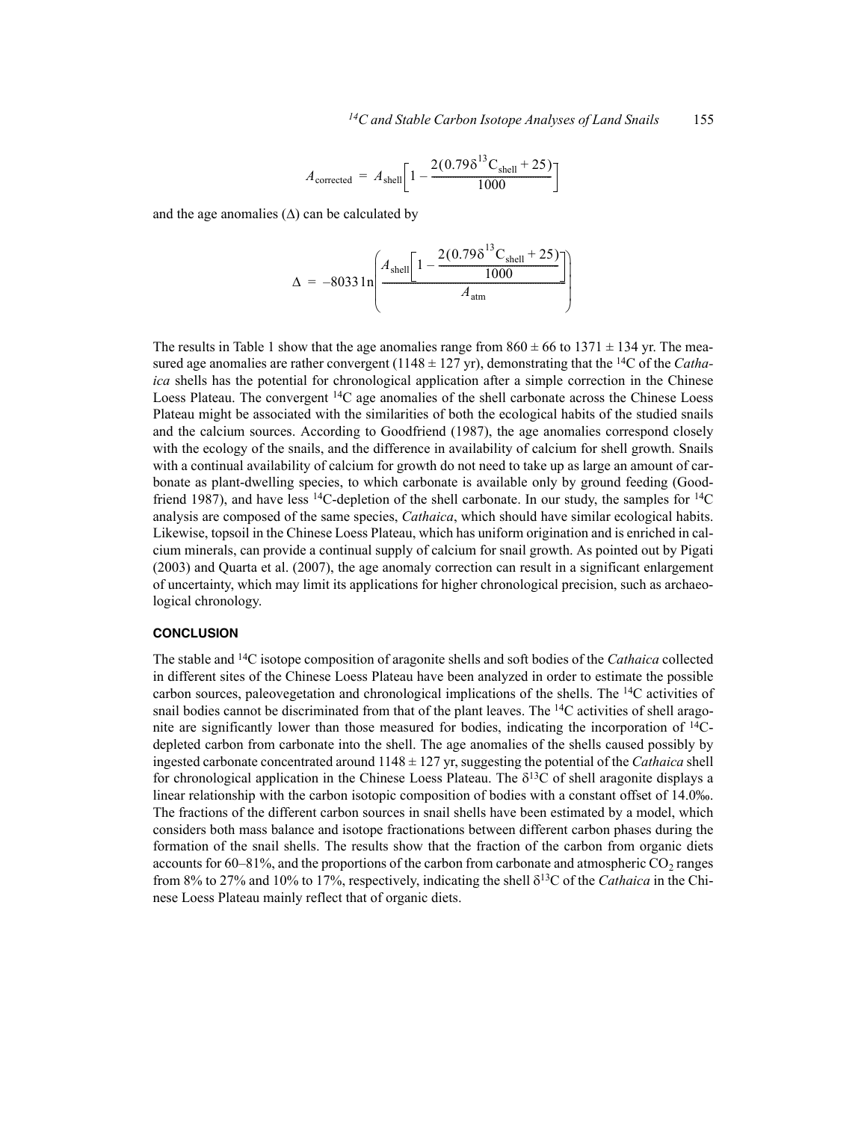$$
A_{\text{corrected}} = A_{\text{shell}} \left[ 1 - \frac{2(0.79 \delta^{13} C_{\text{shell}} + 25)}{1000} \right]
$$

and the age anomalies  $(\Delta)$  can be calculated by

$$
\Delta = -8033 \ln \left( \frac{A_{\text{shell}} \left[ 1 - \frac{2(0.79 \delta^{13} \text{C}_{\text{shell}} + 25)}{1000} \right]}{A_{\text{atm}}} \right)
$$

The results in Table 1 show that the age anomalies range from  $860 \pm 66$  to  $1371 \pm 134$  yr. The measured age anomalies are rather convergent (1148 ± 127 yr), demonstrating that the 14C of the *Cathaica* shells has the potential for chronological application after a simple correction in the Chinese Loess Plateau. The convergent 14C age anomalies of the shell carbonate across the Chinese Loess Plateau might be associated with the similarities of both the ecological habits of the studied snails and the calcium sources. According to Goodfriend (1987), the age anomalies correspond closely with the ecology of the snails, and the difference in availability of calcium for shell growth. Snails with a continual availability of calcium for growth do not need to take up as large an amount of carbonate as plant-dwelling species, to which carbonate is available only by ground feeding (Goodfriend 1987), and have less <sup>14</sup>C-depletion of the shell carbonate. In our study, the samples for <sup>14</sup>C analysis are composed of the same species, *Cathaica*, which should have similar ecological habits. Likewise, topsoil in the Chinese Loess Plateau, which has uniform origination and is enriched in calcium minerals, can provide a continual supply of calcium for snail growth. As pointed out by Pigati (2003) and Quarta et al. (2007), the age anomaly correction can result in a significant enlargement of uncertainty, which may limit its applications for higher chronological precision, such as archaeological chronology.

### **CONCLUSION**

The stable and 14C isotope composition of aragonite shells and soft bodies of the *Cathaica* collected in different sites of the Chinese Loess Plateau have been analyzed in order to estimate the possible carbon sources, paleovegetation and chronological implications of the shells. The 14C activities of snail bodies cannot be discriminated from that of the plant leaves. The  $14C$  activities of shell aragonite are significantly lower than those measured for bodies, indicating the incorporation of 14Cdepleted carbon from carbonate into the shell. The age anomalies of the shells caused possibly by ingested carbonate concentrated around 1148 ± 127 yr, suggesting the potential of the *Cathaica* shell for chronological application in the Chinese Loess Plateau. The  $\delta^{13}$ C of shell aragonite displays a linear relationship with the carbon isotopic composition of bodies with a constant offset of 14.0‰. The fractions of the different carbon sources in snail shells have been estimated by a model, which considers both mass balance and isotope fractionations between different carbon phases during the formation of the snail shells. The results show that the fraction of the carbon from organic diets accounts for  $60-81\%$ , and the proportions of the carbon from carbonate and atmospheric  $CO<sub>2</sub>$  ranges from 8% to 27% and 10% to 17%, respectively, indicating the shell  $\delta^{13}C$  of the *Cathaica* in the Chinese Loess Plateau mainly reflect that of organic diets.